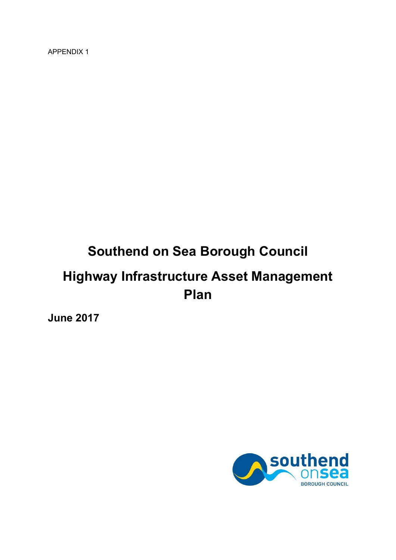APPENDIX 1

# **Southend on Sea Borough Council**

# **Highway Infrastructure Asset Management Plan**

**June 2017**

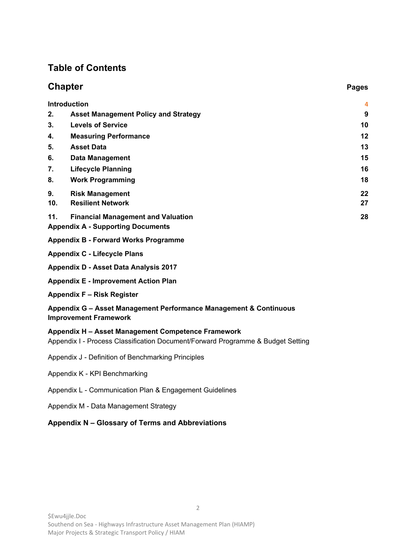## **Table of Contents**

|     | <b>Chapter</b>                                                                                                                        | <b>Pages</b> |
|-----|---------------------------------------------------------------------------------------------------------------------------------------|--------------|
|     | <b>Introduction</b>                                                                                                                   | 4            |
| 2.  | <b>Asset Management Policy and Strategy</b>                                                                                           | 9            |
| 3.  | <b>Levels of Service</b>                                                                                                              | 10           |
| 4.  | <b>Measuring Performance</b>                                                                                                          | 12           |
| 5.  | <b>Asset Data</b>                                                                                                                     | 13           |
| 6.  | <b>Data Management</b>                                                                                                                | 15           |
| 7.  | <b>Lifecycle Planning</b>                                                                                                             | 16           |
| 8.  | <b>Work Programming</b>                                                                                                               | 18           |
| 9.  | <b>Risk Management</b>                                                                                                                | 22           |
| 10. | <b>Resilient Network</b>                                                                                                              | 27           |
| 11. | <b>Financial Management and Valuation</b><br><b>Appendix A - Supporting Documents</b>                                                 | 28           |
|     | <b>Appendix B - Forward Works Programme</b>                                                                                           |              |
|     | <b>Appendix C - Lifecycle Plans</b>                                                                                                   |              |
|     | <b>Appendix D - Asset Data Analysis 2017</b>                                                                                          |              |
|     | <b>Appendix E - Improvement Action Plan</b>                                                                                           |              |
|     | Appendix F - Risk Register                                                                                                            |              |
|     | Appendix G – Asset Management Performance Management & Continuous<br><b>Improvement Framework</b>                                     |              |
|     | Appendix H - Asset Management Competence Framework<br>Appendix I - Process Classification Document/Forward Programme & Budget Setting |              |
|     | Appendix J - Definition of Benchmarking Principles                                                                                    |              |
|     | Appendix K - KPI Benchmarking                                                                                                         |              |
|     | Appendix L - Communication Plan & Engagement Guidelines                                                                               |              |
|     |                                                                                                                                       |              |

Appendix M - Data Management Strategy

**Appendix N – Glossary of Terms and Abbreviations**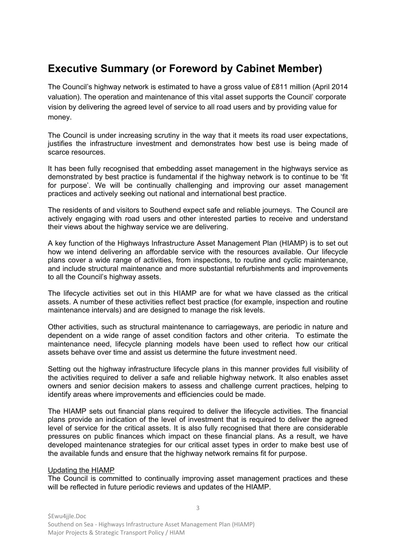## **Executive Summary (or Foreword by Cabinet Member)**

The Council's highway network is estimated to have a gross value of £811 million (April 2014 valuation). The operation and maintenance of this vital asset supports the Council' corporate vision by delivering the agreed level of service to all road users and by providing value for money.

The Council is under increasing scrutiny in the way that it meets its road user expectations, justifies the infrastructure investment and demonstrates how best use is being made of scarce resources.

It has been fully recognised that embedding asset management in the highways service as demonstrated by best practice is fundamental if the highway network is to continue to be 'fit for purpose'. We will be continually challenging and improving our asset management practices and actively seeking out national and international best practice.

The residents of and visitors to Southend expect safe and reliable journeys. The Council are actively engaging with road users and other interested parties to receive and understand their views about the highway service we are delivering.

A key function of the Highways Infrastructure Asset Management Plan (HIAMP) is to set out how we intend delivering an affordable service with the resources available. Our lifecycle plans cover a wide range of activities, from inspections, to routine and cyclic maintenance, and include structural maintenance and more substantial refurbishments and improvements to all the Council's highway assets.

The lifecycle activities set out in this HIAMP are for what we have classed as the critical assets. A number of these activities reflect best practice (for example, inspection and routine maintenance intervals) and are designed to manage the risk levels.

Other activities, such as structural maintenance to carriageways, are periodic in nature and dependent on a wide range of asset condition factors and other criteria. To estimate the maintenance need, lifecycle planning models have been used to reflect how our critical assets behave over time and assist us determine the future investment need.

Setting out the highway infrastructure lifecycle plans in this manner provides full visibility of the activities required to deliver a safe and reliable highway network. It also enables asset owners and senior decision makers to assess and challenge current practices, helping to identify areas where improvements and efficiencies could be made.

The HIAMP sets out financial plans required to deliver the lifecycle activities. The financial plans provide an indication of the level of investment that is required to deliver the agreed level of service for the critical assets. It is also fully recognised that there are considerable pressures on public finances which impact on these financial plans. As a result, we have developed maintenance strategies for our critical asset types in order to make best use of the available funds and ensure that the highway network remains fit for purpose.

#### Updating the HIAMP

The Council is committed to continually improving asset management practices and these will be reflected in future periodic reviews and updates of the HIAMP.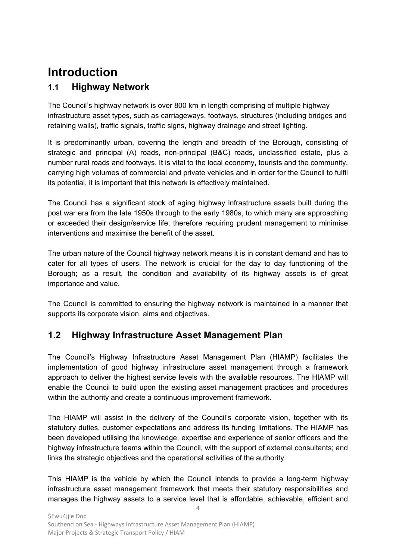## <span id="page-3-0"></span>**Introduction**

## **1.1 Highway Network**

The Council's highway network is over 800 km in length comprising of multiple highway infrastructure asset types, such as carriageways, footways, structures (including bridges and retaining walls), traffic signals, traffic signs, highway drainage and street lighting.

It is predominantly urban, covering the length and breadth of the Borough, consisting of strategic and principal (A) roads, non-principal (B&C) roads, unclassified estate, plus a number rural roads and footways. It is vital to the local economy, tourists and the community, carrying high volumes of commercial and private vehicles and in order for the Council to fulfil its potential, it is important that this network is effectively maintained.

The Council has a significant stock of aging highway infrastructure assets built during the post war era from the late 1950s through to the early 1980s, to which many are approaching or exceeded their design/service life, therefore requiring prudent management to minimise interventions and maximise the benefit of the asset.

The urban nature of the Council highway network means it is in constant demand and has to cater for all types of users. The network is crucial for the day to day functioning of the Borough; as a result, the condition and availability of its highway assets is of great importance and value.

The Council is committed to ensuring the highway network is maintained in a manner that supports its corporate vision, aims and objectives.

## **1.2 Highway Infrastructure Asset Management Plan**

The Council's Highway Infrastructure Asset Management Plan (HIAMP) facilitates the implementation of good highway infrastructure asset management through a framework approach to deliver the highest service levels with the available resources. The HIAMP will enable the Council to build upon the existing asset management practices and procedures within the authority and create a continuous improvement framework.

The HIAMP will assist in the delivery of the Council's corporate vision, together with its statutory duties, customer expectations and address its funding limitations. The HIAMP has been developed utilising the knowledge, expertise and experience of senior officers and the highway infrastructure teams within the Council, with the support of external consultants; and links the strategic objectives and the operational activities of the authority.

This HIAMP is the vehicle by which the Council intends to provide a long-term highway infrastructure asset management framework that meets their statutory responsibilities and manages the highway assets to a service level that is affordable, achievable, efficient and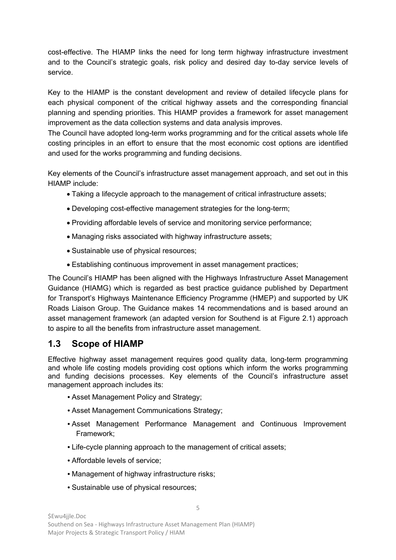cost-effective. The HIAMP links the need for long term highway infrastructure investment and to the Council's strategic goals, risk policy and desired day to-day service levels of service.

Key to the HIAMP is the constant development and review of detailed lifecycle plans for each physical component of the critical highway assets and the corresponding financial planning and spending priorities. This HIAMP provides a framework for asset management improvement as the data collection systems and data analysis improves.

The Council have adopted long-term works programming and for the critical assets whole life costing principles in an effort to ensure that the most economic cost options are identified and used for the works programming and funding decisions.

Key elements of the Council's infrastructure asset management approach, and set out in this HIAMP include:

- Taking a lifecycle approach to the management of critical infrastructure assets;
- Developing cost-effective management strategies for the long-term;
- Providing affordable levels of service and monitoring service performance;
- Managing risks associated with highway infrastructure assets;
- Sustainable use of physical resources;
- Establishing continuous improvement in asset management practices;

The Council's HIAMP has been aligned with the Highways Infrastructure Asset Management Guidance (HIAMG) which is regarded as best practice guidance published by Department for Transport's Highways Maintenance Efficiency Programme (HMEP) and supported by UK Roads Liaison Group. The Guidance makes 14 recommendations and is based around an asset management framework (an adapted version for Southend is at Figure 2.1) approach to aspire to all the benefits from infrastructure asset management.

## **1.3 Scope of HIAMP**

Effective highway asset management requires good quality data, long-term programming and whole life costing models providing cost options which inform the works programming and funding decisions processes. Key elements of the Council's infrastructure asset management approach includes its:

- •Asset Management Policy and Strategy;
- •Asset Management Communications Strategy;
- •Asset Management Performance Management and Continuous Improvement Framework;
- Life-cycle planning approach to the management of critical assets;
- •Affordable levels of service;
- Management of highway infrastructure risks;
- •Sustainable use of physical resources;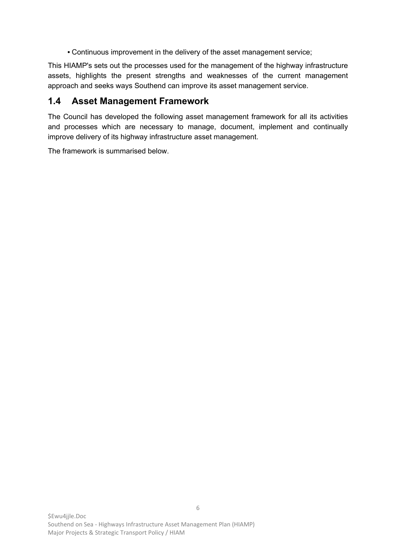• Continuous improvement in the delivery of the asset management service;

This HIAMP's sets out the processes used for the management of the highway infrastructure assets, highlights the present strengths and weaknesses of the current management approach and seeks ways Southend can improve its asset management service.

#### **1.4 Asset Management Framework**

The Council has developed the following asset management framework for all its activities and processes which are necessary to manage, document, implement and continually improve delivery of its highway infrastructure asset management.

The framework is summarised below.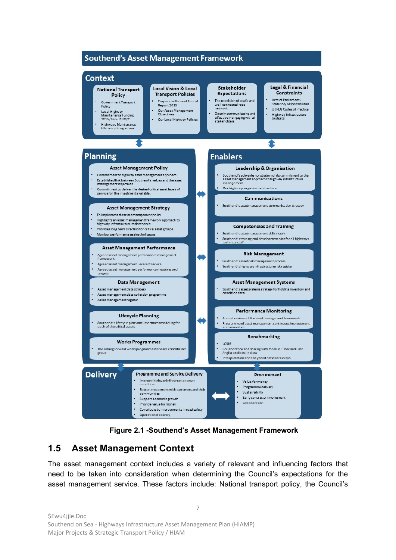

**Figure 2.1 -Southend's Asset Management Framework**

## **1.5 Asset Management Context**

The asset management context includes a variety of relevant and influencing factors that need to be taken into consideration when determining the Council's expectations for the asset management service. These factors include: National transport policy, the Council's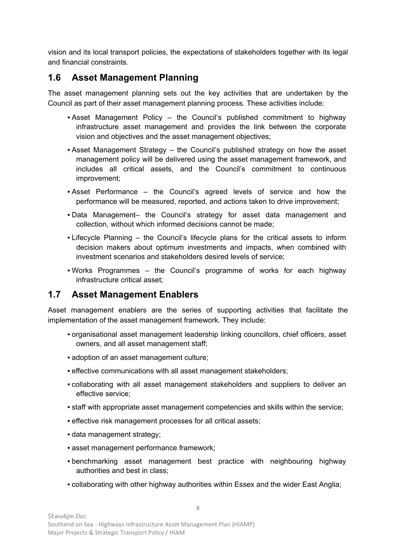vision and its local transport policies, the expectations of stakeholders together with its legal and financial constraints.

## **1.6 Asset Management Planning**

The asset management planning sets out the key activities that are undertaken by the Council as part of their asset management planning process. These activities include:

- •Asset Management Policy the Council's published commitment to highway infrastructure asset management and provides the link between the corporate vision and objectives and the asset management objectives;
- •Asset Management Strategy the Council's published strategy on how the asset management policy will be delivered using the asset management framework, and includes all critical assets, and the Council's commitment to continuous improvement;
- •Asset Performance the Council's agreed levels of service and how the performance will be measured, reported, and actions taken to drive improvement;
- Data Management– the Council's strategy for asset data management and collection, without which informed decisions cannot be made;
- Lifecycle Planning the Council's lifecycle plans for the critical assets to inform decision makers about optimum investments and impacts, when combined with investment scenarios and stakeholders desired levels of service;
- •Works Programmes the Council's programme of works for each highway infrastructure critical asset;

## **1.7 Asset Management Enablers**

Asset management enablers are the series of supporting activities that facilitate the implementation of the asset management framework. They include:

- organisational asset management leadership linking councillors, chief officers, asset owners, and all asset management staff;
- adoption of an asset management culture;
- effective communications with all asset management stakeholders;
- collaborating with all asset management stakeholders and suppliers to deliver an effective service;
- staff with appropriate asset management competencies and skills within the service;
- effective risk management processes for all critical assets;
- data management strategy;
- asset management performance framework;
- benchmarking asset management best practice with neighbouring highway authorities and best in class;
- collaborating with other highway authorities within Essex and the wider East Anglia;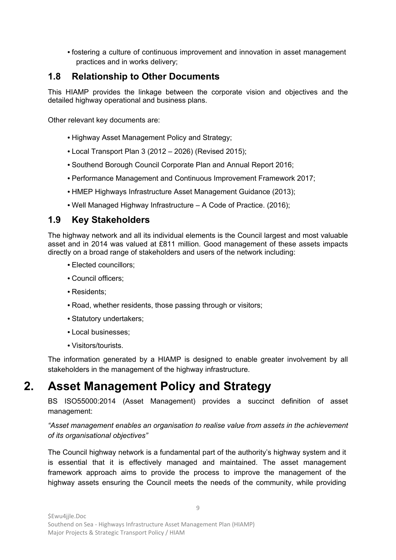• fostering a culture of continuous improvement and innovation in asset management practices and in works delivery;

### **1.8 Relationship to Other Documents**

This HIAMP provides the linkage between the corporate vision and objectives and the detailed highway operational and business plans.

Other relevant key documents are:

- Highway Asset Management Policy and Strategy;
- Local Transport Plan 3 (2012 2026) (Revised 2015);
- •Southend Borough Council Corporate Plan and Annual Report 2016;
- •Performance Management and Continuous Improvement Framework 2017;
- HMEP Highways Infrastructure Asset Management Guidance (2013);
- •Well Managed Highway Infrastructure A Code of Practice. (2016);

#### **1.9 Key Stakeholders**

The highway network and all its individual elements is the Council largest and most valuable asset and in 2014 was valued at £811 million. Good management of these assets impacts directly on a broad range of stakeholders and users of the network including:

- •Elected councillors;
- Council officers;
- Residents;
- Road, whether residents, those passing through or visitors;
- •Statutory undertakers;
- Local businesses;
- •Visitors/tourists.

The information generated by a HIAMP is designed to enable greater involvement by all stakeholders in the management of the highway infrastructure.

## <span id="page-8-0"></span>**2. Asset Management Policy and Strategy**

BS ISO55000:2014 (Asset Management) provides a succinct definition of asset management:

*"Asset management enables an organisation to realise value from assets in the achievement of its organisational objectives"*

The Council highway network is a fundamental part of the authority's highway system and it is essential that it is effectively managed and maintained. The asset management framework approach aims to provide the process to improve the management of the highway assets ensuring the Council meets the needs of the community, while providing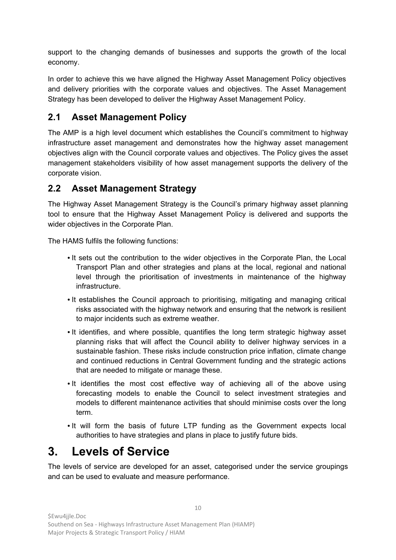support to the changing demands of businesses and supports the growth of the local economy.

In order to achieve this we have aligned the Highway Asset Management Policy objectives and delivery priorities with the corporate values and objectives. The Asset Management Strategy has been developed to deliver the Highway Asset Management Policy.

## **2.1 Asset Management Policy**

The AMP is a high level document which establishes the Council's commitment to highway infrastructure asset management and demonstrates how the highway asset management objectives align with the Council corporate values and objectives. The Policy gives the asset management stakeholders visibility of how asset management supports the delivery of the corporate vision.

## **2.2 Asset Management Strategy**

The Highway Asset Management Strategy is the Council's primary highway asset planning tool to ensure that the Highway Asset Management Policy is delivered and supports the wider objectives in the Corporate Plan.

The HAMS fulfils the following functions:

- It sets out the contribution to the wider objectives in the Corporate Plan, the Local Transport Plan and other strategies and plans at the local, regional and national level through the prioritisation of investments in maintenance of the highway infrastructure.
- It establishes the Council approach to prioritising, mitigating and managing critical risks associated with the highway network and ensuring that the network is resilient to major incidents such as extreme weather.
- It identifies, and where possible, quantifies the long term strategic highway asset planning risks that will affect the Council ability to deliver highway services in a sustainable fashion. These risks include construction price inflation, climate change and continued reductions in Central Government funding and the strategic actions that are needed to mitigate or manage these.
- It identifies the most cost effective way of achieving all of the above using forecasting models to enable the Council to select investment strategies and models to different maintenance activities that should minimise costs over the long term.
- It will form the basis of future LTP funding as the Government expects local authorities to have strategies and plans in place to justify future bids.

## <span id="page-9-0"></span>**3. Levels of Service**

The levels of service are developed for an asset, categorised under the service groupings and can be used to evaluate and measure performance.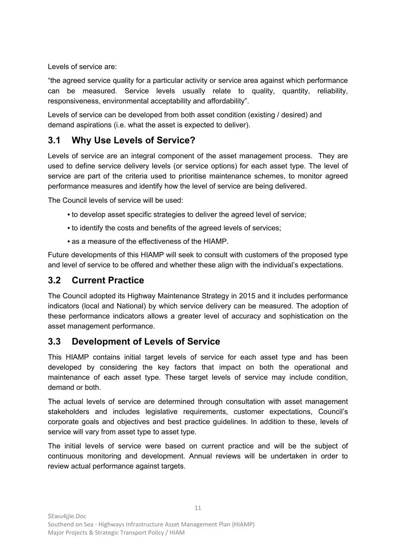Levels of service are:

"the agreed service quality for a particular activity or service area against which performance can be measured. Service levels usually relate to quality, quantity, reliability, responsiveness, environmental acceptability and affordability".

Levels of service can be developed from both asset condition (existing / desired) and demand aspirations (i.e. what the asset is expected to deliver).

## **3.1 Why Use Levels of Service?**

Levels of service are an integral component of the asset management process. They are used to define service delivery levels (or service options) for each asset type. The level of service are part of the criteria used to prioritise maintenance schemes, to monitor agreed performance measures and identify how the level of service are being delivered.

The Council levels of service will be used:

- to develop asset specific strategies to deliver the agreed level of service;
- to identify the costs and benefits of the agreed levels of services;
- as a measure of the effectiveness of the HIAMP

Future developments of this HIAMP will seek to consult with customers of the proposed type and level of service to be offered and whether these align with the individual's expectations.

## **3.2 Current Practice**

The Council adopted its Highway Maintenance Strategy in 2015 and it includes performance indicators (local and National) by which service delivery can be measured. The adoption of these performance indicators allows a greater level of accuracy and sophistication on the asset management performance.

## **3.3 Development of Levels of Service**

This HIAMP contains initial target levels of service for each asset type and has been developed by considering the key factors that impact on both the operational and maintenance of each asset type. These target levels of service may include condition, demand or both.

The actual levels of service are determined through consultation with asset management stakeholders and includes legislative requirements, customer expectations, Council's corporate goals and objectives and best practice guidelines. In addition to these, levels of service will vary from asset type to asset type.

The initial levels of service were based on current practice and will be the subject of continuous monitoring and development. Annual reviews will be undertaken in order to review actual performance against targets.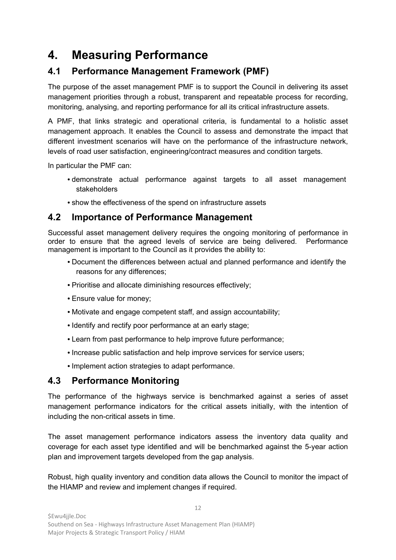## <span id="page-11-0"></span>**4. Measuring Performance**

## **4.1 Performance Management Framework (PMF)**

The purpose of the asset management PMF is to support the Council in delivering its asset management priorities through a robust, transparent and repeatable process for recording, monitoring, analysing, and reporting performance for all its critical infrastructure assets.

A PMF, that links strategic and operational criteria, is fundamental to a holistic asset management approach. It enables the Council to assess and demonstrate the impact that different investment scenarios will have on the performance of the infrastructure network, levels of road user satisfaction, engineering/contract measures and condition targets.

In particular the PMF can:

- demonstrate actual performance against targets to all asset management stakeholders
- show the effectiveness of the spend on infrastructure assets

## **4.2 Importance of Performance Management**

Successful asset management delivery requires the ongoing monitoring of performance in order to ensure that the agreed levels of service are being delivered. Performance management is important to the Council as it provides the ability to:

- Document the differences between actual and planned performance and identify the reasons for any differences;
- •Prioritise and allocate diminishing resources effectively;
- •Ensure value for money;
- Motivate and engage competent staff, and assign accountability;
- Identify and rectify poor performance at an early stage;
- Learn from past performance to help improve future performance;
- Increase public satisfaction and help improve services for service users;
- Implement action strategies to adapt performance.

## **4.3 Performance Monitoring**

The performance of the highways service is benchmarked against a series of asset management performance indicators for the critical assets initially, with the intention of including the non-critical assets in time.

The asset management performance indicators assess the inventory data quality and coverage for each asset type identified and will be benchmarked against the 5-year action plan and improvement targets developed from the gap analysis.

Robust, high quality inventory and condition data allows the Council to monitor the impact of the HIAMP and review and implement changes if required.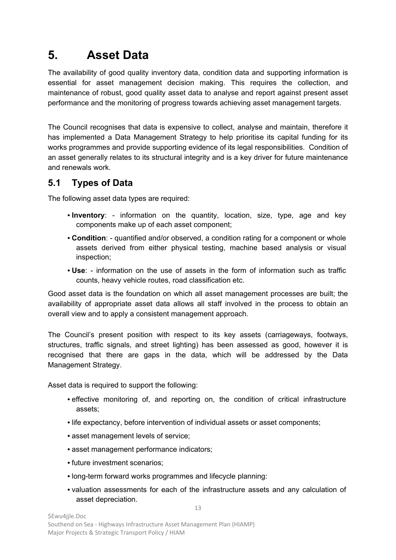## <span id="page-12-0"></span>**5. Asset Data**

The availability of good quality inventory data, condition data and supporting information is essential for asset management decision making. This requires the collection, and maintenance of robust, good quality asset data to analyse and report against present asset performance and the monitoring of progress towards achieving asset management targets.

The Council recognises that data is expensive to collect, analyse and maintain, therefore it has implemented a Data Management Strategy to help prioritise its capital funding for its works programmes and provide supporting evidence of its legal responsibilities. Condition of an asset generally relates to its structural integrity and is a key driver for future maintenance and renewals work.

## **5.1 Types of Data**

The following asset data types are required:

- **Inventory**: information on the quantity, location, size, type, age and key components make up of each asset component;
- **Condition**: quantified and/or observed, a condition rating for a component or whole assets derived from either physical testing, machine based analysis or visual inspection;
- **Use**: information on the use of assets in the form of information such as traffic counts, heavy vehicle routes, road classification etc.

Good asset data is the foundation on which all asset management processes are built; the availability of appropriate asset data allows all staff involved in the process to obtain an overall view and to apply a consistent management approach.

The Council's present position with respect to its key assets (carriageways, footways, structures, traffic signals, and street lighting) has been assessed as good, however it is recognised that there are gaps in the data, which will be addressed by the Data Management Strategy.

Asset data is required to support the following:

- effective monitoring of, and reporting on, the condition of critical infrastructure assets;
- life expectancy, before intervention of individual assets or asset components;
- asset management levels of service;
- asset management performance indicators;
- future investment scenarios;
- long-term forward works programmes and lifecycle planning:
- valuation assessments for each of the infrastructure assets and any calculation of asset depreciation.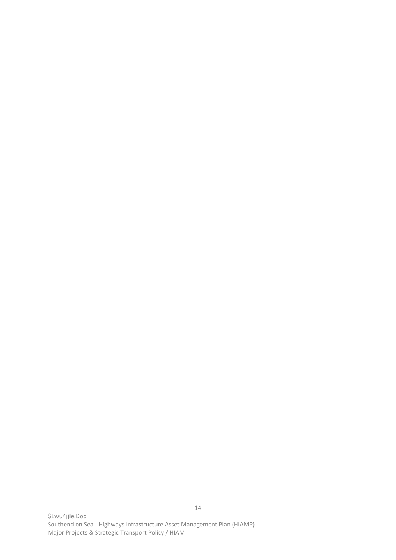\$Ewu4jjle.Doc Southend on Sea - Highways Infrastructure Asset Management Plan (HIAMP) Major Projects & Strategic Transport Policy / HIAM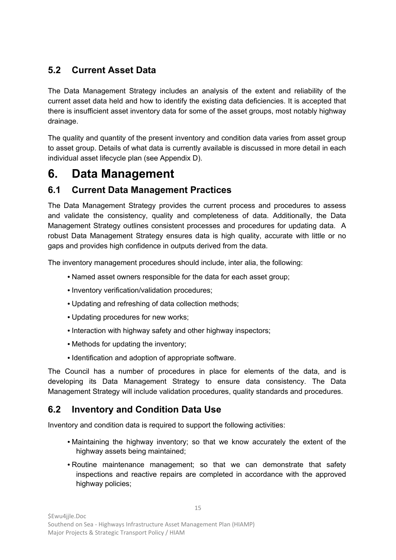## **5.2 Current Asset Data**

The Data Management Strategy includes an analysis of the extent and reliability of the current asset data held and how to identify the existing data deficiencies. It is accepted that there is insufficient asset inventory data for some of the asset groups, most notably highway drainage.

The quality and quantity of the present inventory and condition data varies from asset group to asset group. Details of what data is currently available is discussed in more detail in each individual asset lifecycle plan (see Appendix D).

## <span id="page-14-0"></span>**6. Data Management**

## **6.1 Current Data Management Practices**

The Data Management Strategy provides the current process and procedures to assess and validate the consistency, quality and completeness of data. Additionally, the Data Management Strategy outlines consistent processes and procedures for updating data. A robust Data Management Strategy ensures data is high quality, accurate with little or no gaps and provides high confidence in outputs derived from the data.

The inventory management procedures should include, inter alia, the following:

- Named asset owners responsible for the data for each asset group;
- Inventory verification/validation procedures;
- Updating and refreshing of data collection methods;
- Updating procedures for new works;
- Interaction with highway safety and other highway inspectors;
- Methods for updating the inventory;
- Identification and adoption of appropriate software.

The Council has a number of procedures in place for elements of the data, and is developing its Data Management Strategy to ensure data consistency. The Data Management Strategy will include validation procedures, quality standards and procedures.

## **6.2 Inventory and Condition Data Use**

Inventory and condition data is required to support the following activities:

- Maintaining the highway inventory; so that we know accurately the extent of the highway assets being maintained;
- Routine maintenance management; so that we can demonstrate that safety inspections and reactive repairs are completed in accordance with the approved highway policies;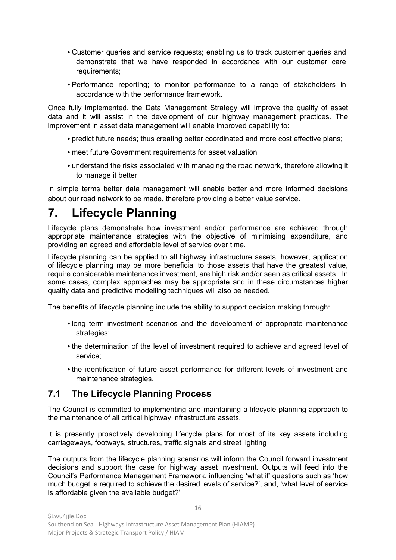- Customer queries and service requests; enabling us to track customer queries and demonstrate that we have responded in accordance with our customer care requirements;
- •Performance reporting; to monitor performance to a range of stakeholders in accordance with the performance framework.

Once fully implemented, the Data Management Strategy will improve the quality of asset data and it will assist in the development of our highway management practices. The improvement in asset data management will enable improved capability to:

- predict future needs; thus creating better coordinated and more cost effective plans;
- meet future Government requirements for asset valuation
- understand the risks associated with managing the road network, therefore allowing it to manage it better

In simple terms better data management will enable better and more informed decisions about our road network to be made, therefore providing a better value service.

## <span id="page-15-0"></span>**7. Lifecycle Planning**

Lifecycle plans demonstrate how investment and/or performance are achieved through appropriate maintenance strategies with the objective of minimising expenditure, and providing an agreed and affordable level of service over time.

Lifecycle planning can be applied to all highway infrastructure assets, however, application of lifecycle planning may be more beneficial to those assets that have the greatest value, require considerable maintenance investment, are high risk and/or seen as critical assets. In some cases, complex approaches may be appropriate and in these circumstances higher quality data and predictive modelling techniques will also be needed.

The benefits of lifecycle planning include the ability to support decision making through:

- long term investment scenarios and the development of appropriate maintenance strategies;
- the determination of the level of investment required to achieve and agreed level of service;
- the identification of future asset performance for different levels of investment and maintenance strategies.

## **7.1 The Lifecycle Planning Process**

The Council is committed to implementing and maintaining a lifecycle planning approach to the maintenance of all critical highway infrastructure assets.

It is presently proactively developing lifecycle plans for most of its key assets including carriageways, footways, structures, traffic signals and street lighting

The outputs from the lifecycle planning scenarios will inform the Council forward investment decisions and support the case for highway asset investment. Outputs will feed into the Council's Performance Management Framework, influencing 'what if' questions such as 'how much budget is required to achieve the desired levels of service?', and, 'what level of service is affordable given the available budget?'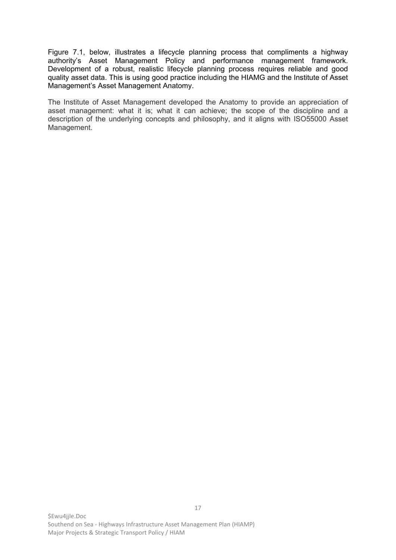Figure 7.1, below, illustrates a lifecycle planning process that compliments a highway authority's Asset Management Policy and performance management framework. Development of a robust, realistic lifecycle planning process requires reliable and good quality asset data. This is using good practice including the HIAMG and the Institute of Asset Management's Asset Management Anatomy.

The Institute of Asset Management developed the Anatomy to provide an appreciation of asset management: what it is; what it can achieve; the scope of the discipline and a description of the underlying concepts and philosophy, and it aligns with ISO55000 Asset Management.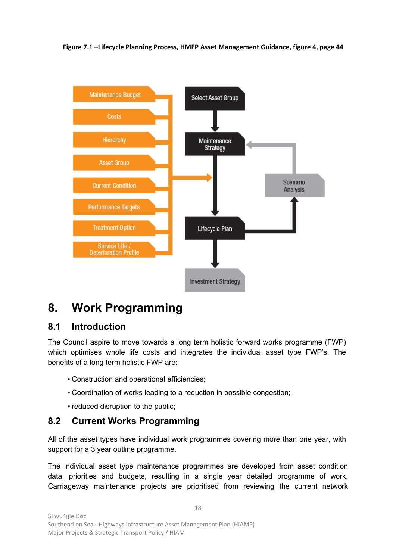**Figure 7.1 –Lifecycle Planning Process, HMEP Asset Management Guidance, figure 4, page 44**



## <span id="page-17-0"></span>**8. Work Programming**

## **8.1 Introduction**

The Council aspire to move towards a long term holistic forward works programme (FWP) which optimises whole life costs and integrates the individual asset type FWP's. The benefits of a long term holistic FWP are:

- Construction and operational efficiencies;
- Coordination of works leading to a reduction in possible congestion;
- reduced disruption to the public;

## **8.2 Current Works Programming**

All of the asset types have individual work programmes covering more than one year, with support for a 3 year outline programme.

The individual asset type maintenance programmes are developed from asset condition data, priorities and budgets, resulting in a single year detailed programme of work. Carriageway maintenance projects are prioritised from reviewing the current network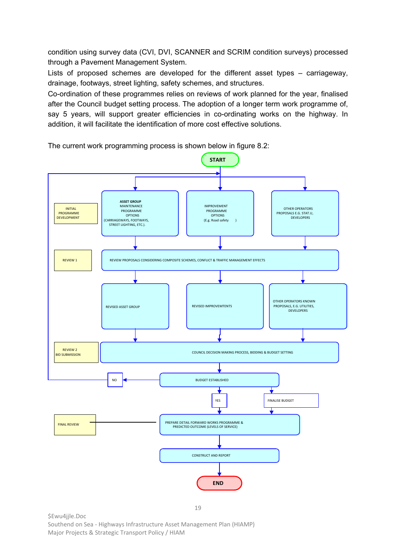condition using survey data (CVI, DVI, SCANNER and SCRIM condition surveys) processed through a Pavement Management System.

Lists of proposed schemes are developed for the different asset types – carriageway, drainage, footways, street lighting, safety schemes, and structures.

Co-ordination of these programmes relies on reviews of work planned for the year, finalised after the Council budget setting process. The adoption of a longer term work programme of, say 5 years, will support greater efficiencies in co-ordinating works on the highway. In addition, it will facilitate the identification of more cost effective solutions.



19

The current work programming process is shown below in figure 8.2: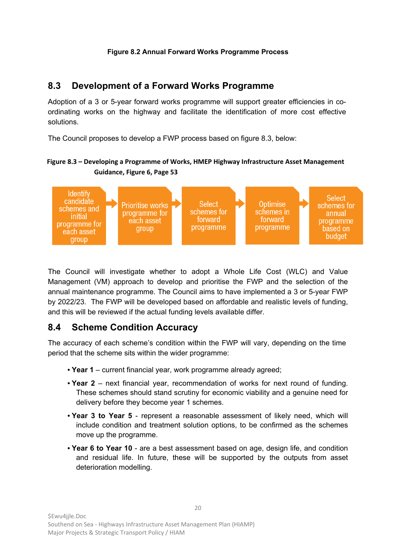### **8.3 Development of a Forward Works Programme**

Adoption of a 3 or 5-year forward works programme will support greater efficiencies in coordinating works on the highway and facilitate the identification of more cost effective solutions.

The Council proposes to develop a FWP process based on figure 8.3, below:

#### **Figure 8.3 – Developing a Programme of Works, HMEP Highway Infrastructure Asset Management Guidance, Figure 6, Page 53**



The Council will investigate whether to adopt a Whole Life Cost (WLC) and Value Management (VM) approach to develop and prioritise the FWP and the selection of the annual maintenance programme. The Council aims to have implemented a 3 or 5-year FWP by 2022/23. The FWP will be developed based on affordable and realistic levels of funding, and this will be reviewed if the actual funding levels available differ.

#### **8.4 Scheme Condition Accuracy**

The accuracy of each scheme's condition within the FWP will vary, depending on the time period that the scheme sits within the wider programme:

- •**Year 1** current financial year, work programme already agreed;
- •**Year 2** next financial year, recommendation of works for next round of funding. These schemes should stand scrutiny for economic viability and a genuine need for delivery before they become year 1 schemes.
- •**Year 3 to Year 5** represent a reasonable assessment of likely need, which will include condition and treatment solution options, to be confirmed as the schemes move up the programme.
- •**Year 6 to Year 10** are a best assessment based on age, design life, and condition and residual life. In future, these will be supported by the outputs from asset deterioration modelling.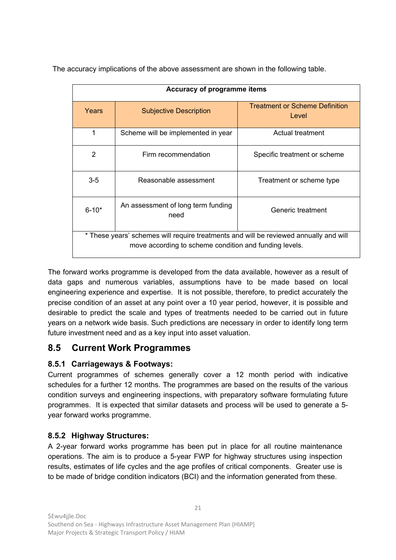The accuracy implications of the above assessment are shown in the following table.

| Accuracy of programme items                                                                                                                     |                                    |                                                |  |  |  |
|-------------------------------------------------------------------------------------------------------------------------------------------------|------------------------------------|------------------------------------------------|--|--|--|
| Years                                                                                                                                           | <b>Subjective Description</b>      | <b>Treatment or Scheme Definition</b><br>Level |  |  |  |
| 1                                                                                                                                               | Scheme will be implemented in year | Actual treatment                               |  |  |  |
| $\overline{2}$                                                                                                                                  | Firm recommendation                | Specific treatment or scheme                   |  |  |  |
| $3 - 5$                                                                                                                                         | Reasonable assessment              | Treatment or scheme type                       |  |  |  |
| An assessment of long term funding<br>$6 - 10*$<br>Generic treatment<br>need                                                                    |                                    |                                                |  |  |  |
| * These years' schemes will require treatments and will be reviewed annually and will<br>move according to scheme condition and funding levels. |                                    |                                                |  |  |  |
|                                                                                                                                                 |                                    |                                                |  |  |  |

The forward works programme is developed from the data available, however as a result of data gaps and numerous variables, assumptions have to be made based on local engineering experience and expertise. It is not possible, therefore, to predict accurately the precise condition of an asset at any point over a 10 year period, however, it is possible and desirable to predict the scale and types of treatments needed to be carried out in future years on a network wide basis. Such predictions are necessary in order to identify long term future investment need and as a key input into asset valuation.

## **8.5 Current Work Programmes**

#### **8.5.1 Carriageways & Footways:**

Current programmes of schemes generally cover a 12 month period with indicative schedules for a further 12 months. The programmes are based on the results of the various condition surveys and engineering inspections, with preparatory software formulating future programmes. It is expected that similar datasets and process will be used to generate a 5 year forward works programme.

#### **8.5.2 Highway Structures:**

A 2-year forward works programme has been put in place for all routine maintenance operations. The aim is to produce a 5-year FWP for highway structures using inspection results, estimates of life cycles and the age profiles of critical components. Greater use is to be made of bridge condition indicators (BCI) and the information generated from these.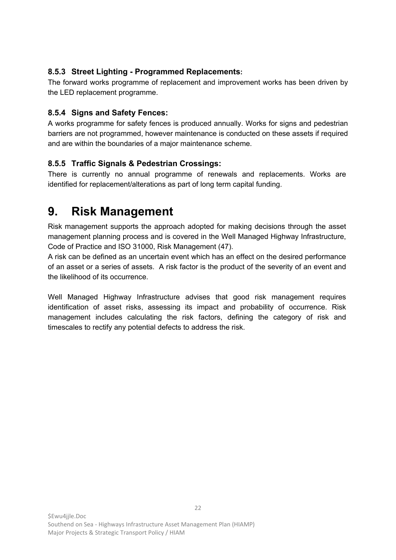#### **8.5.3 Street Lighting - Programmed Replacements:**

The forward works programme of replacement and improvement works has been driven by the LED replacement programme.

#### **8.5.4 Signs and Safety Fences:**

A works programme for safety fences is produced annually. Works for signs and pedestrian barriers are not programmed, however maintenance is conducted on these assets if required and are within the boundaries of a major maintenance scheme.

#### **8.5.5 Traffic Signals & Pedestrian Crossings:**

There is currently no annual programme of renewals and replacements. Works are identified for replacement/alterations as part of long term capital funding.

## <span id="page-21-0"></span>**9. Risk Management**

Risk management supports the approach adopted for making decisions through the asset management planning process and is covered in the Well Managed Highway Infrastructure, Code of Practice and ISO 31000, Risk Management (47).

A risk can be defined as an uncertain event which has an effect on the desired performance of an asset or a series of assets. A risk factor is the product of the severity of an event and the likelihood of its occurrence.

Well Managed Highway Infrastructure advises that good risk management requires identification of asset risks, assessing its impact and probability of occurrence. Risk management includes calculating the risk factors, defining the category of risk and timescales to rectify any potential defects to address the risk.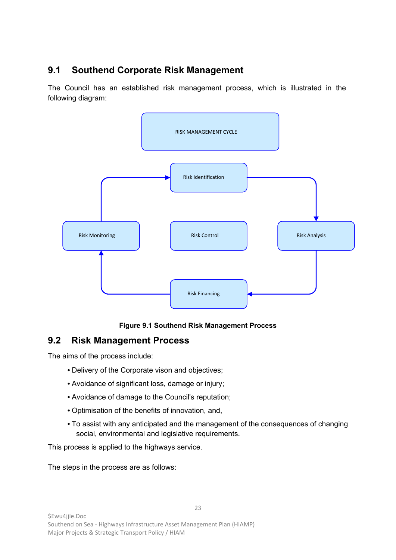## **9.1 Southend Corporate Risk Management**

The Council has an established risk management process, which is illustrated in the following diagram:



**Figure 9.1 Southend Risk Management Process**

### **9.2 Risk Management Process**

The aims of the process include:

- Delivery of the Corporate vison and objectives;
- •Avoidance of significant loss, damage or injury;
- •Avoidance of damage to the Council's reputation;
- •Optimisation of the benefits of innovation, and,
- •To assist with any anticipated and the management of the consequences of changing social, environmental and legislative requirements.

This process is applied to the highways service.

The steps in the process are as follows: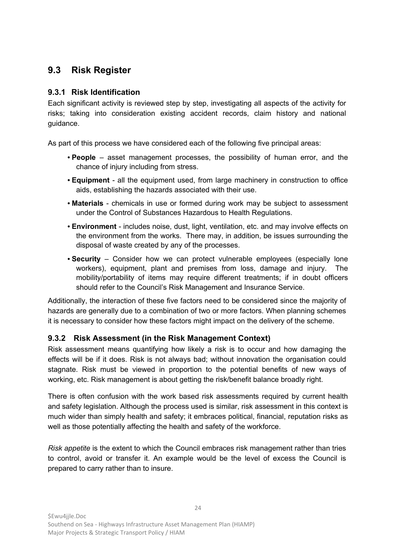## **9.3 Risk Register**

#### **9.3.1 Risk Identification**

Each significant activity is reviewed step by step, investigating all aspects of the activity for risks; taking into consideration existing accident records, claim history and national guidance.

As part of this process we have considered each of the following five principal areas:

- •**People** asset management processes, the possibility of human error, and the chance of injury including from stress.
- •**Equipment** all the equipment used, from large machinery in construction to office aids, establishing the hazards associated with their use.
- **Materials** chemicals in use or formed during work may be subject to assessment under the Control of Substances Hazardous to Health Regulations.
- •**Environment** includes noise, dust, light, ventilation, etc. and may involve effects on the environment from the works. There may, in addition, be issues surrounding the disposal of waste created by any of the processes.
- •**Security** Consider how we can protect vulnerable employees (especially lone workers), equipment, plant and premises from loss, damage and injury. The mobility/portability of items may require different treatments; if in doubt officers should refer to the Council's Risk Management and Insurance Service.

Additionally, the interaction of these five factors need to be considered since the majority of hazards are generally due to a combination of two or more factors. When planning schemes it is necessary to consider how these factors might impact on the delivery of the scheme.

#### **9.3.2 Risk Assessment (in the Risk Management Context)**

Risk assessment means quantifying how likely a risk is to occur and how damaging the effects will be if it does. Risk is not always bad; without innovation the organisation could stagnate. Risk must be viewed in proportion to the potential benefits of new ways of working, etc. Risk management is about getting the risk/benefit balance broadly right.

There is often confusion with the work based risk assessments required by current health and safety legislation. Although the process used is similar, risk assessment in this context is much wider than simply health and safety; it embraces political, financial, reputation risks as well as those potentially affecting the health and safety of the workforce.

*Risk appetite* is the extent to which the Council embraces risk management rather than tries to control, avoid or transfer it. An example would be the level of excess the Council is prepared to carry rather than to insure.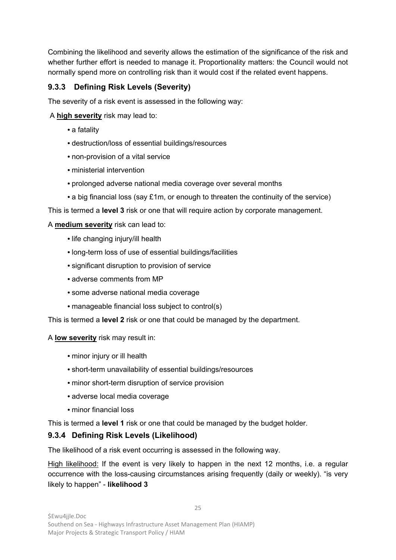Combining the likelihood and severity allows the estimation of the significance of the risk and whether further effort is needed to manage it. Proportionality matters: the Council would not normally spend more on controlling risk than it would cost if the related event happens.

### **9.3.3 Defining Risk Levels (Severity)**

The severity of a risk event is assessed in the following way:

A **high severity** risk may lead to:

- a fatality
- destruction/loss of essential buildings/resources
- non-provision of a vital service
- ministerial intervention
- prolonged adverse national media coverage over several months
- a big financial loss (say £1m, or enough to threaten the continuity of the service)

This is termed a **level 3** risk or one that will require action by corporate management.

#### A **medium severity** risk can lead to:

- life changing injury/ill health
- long-term loss of use of essential buildings/facilities
- significant disruption to provision of service
- adverse comments from MP
- some adverse national media coverage
- manageable financial loss subject to control(s)

This is termed a **level 2** risk or one that could be managed by the department.

A **low severity** risk may result in:

- minor injury or ill health
- short-term unavailability of essential buildings/resources
- minor short-term disruption of service provision
- adverse local media coverage
- minor financial loss

This is termed a **level 1** risk or one that could be managed by the budget holder.

#### **9.3.4 Defining Risk Levels (Likelihood)**

The likelihood of a risk event occurring is assessed in the following way.

High likelihood: If the event is very likely to happen in the next 12 months, i.e. a regular occurrence with the loss-causing circumstances arising frequently (daily or weekly). "is very likely to happen" - **likelihood 3**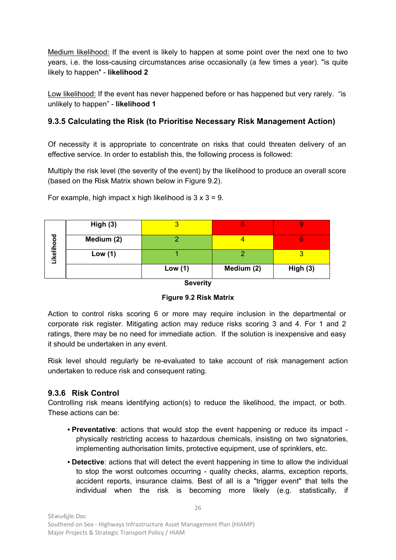Medium likelihood: If the event is likely to happen at some point over the next one to two years, i.e. the loss-causing circumstances arise occasionally (a few times a year). "is quite likely to happen" - **likelihood 2**

Low likelihood: If the event has never happened before or has happened but very rarely. "is unlikely to happen" - **likelihood 1**

#### **9.3.5 Calculating the Risk (to Prioritise Necessary Risk Management Action)**

Of necessity it is appropriate to concentrate on risks that could threaten delivery of an effective service. In order to establish this, the following process is followed:

Multiply the risk level (the severity of the event) by the likelihood to produce an overall score (based on the Risk Matrix shown below in Figure 9.2).

|            |            | Low $(1)$ | Medium (2) | High (3) |
|------------|------------|-----------|------------|----------|
|            |            |           |            |          |
|            | Low $(1)$  |           |            |          |
| Likelihood | Medium (2) |           |            |          |
|            | High $(3)$ |           |            |          |

For example, high impact x high likelihood is  $3 \times 3 = 9$ .

#### **Severity**

**Figure 9.2 Risk Matrix**

Action to control risks scoring 6 or more may require inclusion in the departmental or corporate risk register. Mitigating action may reduce risks scoring 3 and 4. For 1 and 2 ratings, there may be no need for immediate action. If the solution is inexpensive and easy it should be undertaken in any event.

Risk level should regularly be re-evaluated to take account of risk management action undertaken to reduce risk and consequent rating.

#### **9.3.6 Risk Control**

Controlling risk means identifying action(s) to reduce the likelihood, the impact, or both. These actions can be:

- •**Preventative**: actions that would stop the event happening or reduce its impact physically restricting access to hazardous chemicals, insisting on two signatories, implementing authorisation limits, protective equipment, use of sprinklers, etc.
- **Detective**: actions that will detect the event happening in time to allow the individual to stop the worst outcomes occurring - quality checks, alarms, exception reports, accident reports, insurance claims. Best of all is a "trigger event" that tells the individual when the risk is becoming more likely (e.g. statistically, if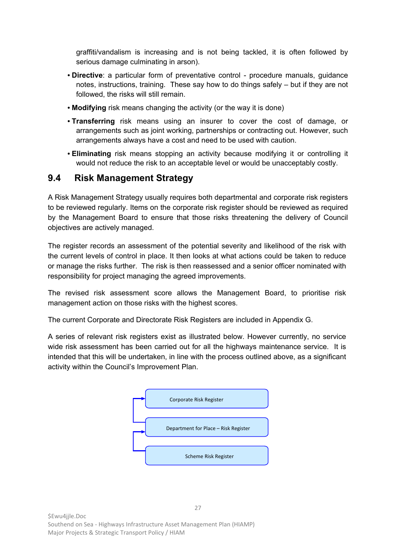graffiti/vandalism is increasing and is not being tackled, it is often followed by serious damage culminating in arson).

- **Directive**: a particular form of preventative control procedure manuals, guidance notes, instructions, training. These say how to do things safely – but if they are not followed, the risks will still remain.
- **Modifying** risk means changing the activity (or the way it is done)
- •**Transferring** risk means using an insurer to cover the cost of damage, or arrangements such as joint working, partnerships or contracting out. However, such arrangements always have a cost and need to be used with caution.
- •**Eliminating** risk means stopping an activity because modifying it or controlling it would not reduce the risk to an acceptable level or would be unacceptably costly.

## **9.4 Risk Management Strategy**

A Risk Management Strategy usually requires both departmental and corporate risk registers to be reviewed regularly. Items on the corporate risk register should be reviewed as required by the Management Board to ensure that those risks threatening the delivery of Council objectives are actively managed.

The register records an assessment of the potential severity and likelihood of the risk with the current levels of control in place. It then looks at what actions could be taken to reduce or manage the risks further. The risk is then reassessed and a senior officer nominated with responsibility for project managing the agreed improvements.

The revised risk assessment score allows the Management Board, to prioritise risk management action on those risks with the highest scores.

The current Corporate and Directorate Risk Registers are included in Appendix G.

A series of relevant risk registers exist as illustrated below. However currently, no service wide risk assessment has been carried out for all the highways maintenance service. It is intended that this will be undertaken, in line with the process outlined above, as a significant activity within the Council's Improvement Plan.

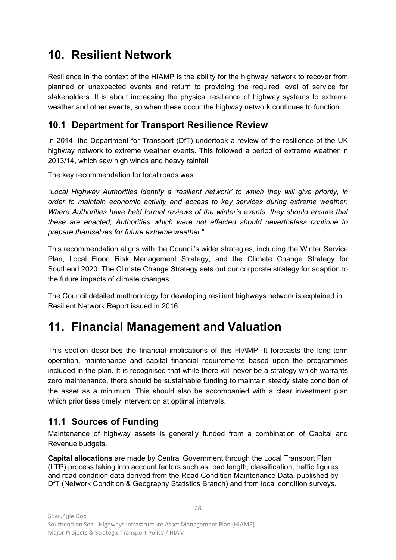## <span id="page-27-0"></span>**10. Resilient Network**

Resilience in the context of the HIAMP is the ability for the highway network to recover from planned or unexpected events and return to providing the required level of service for stakeholders. It is about increasing the physical resilience of highway systems to extreme weather and other events, so when these occur the highway network continues to function.

## **10.1 Department for Transport Resilience Review**

In 2014, the Department for Transport (DfT) undertook a review of the resilience of the UK highway network to extreme weather events. This followed a period of extreme weather in 2013/14, which saw high winds and heavy rainfall.

The key recommendation for local roads was:

*"Local Highway Authorities identify a 'resilient network' to which they will give priority, in order to maintain economic activity and access to key services during extreme weather. Where Authorities have held formal reviews of the winter's events, they should ensure that these are enacted; Authorities which were not affected should nevertheless continue to prepare themselves for future extreme weather*."

This recommendation aligns with the Council's wider strategies, including the Winter Service Plan, Local Flood Risk Management Strategy, and the Climate Change Strategy for Southend 2020. The Climate Change Strategy sets out our corporate strategy for adaption to the future impacts of climate changes.

The Council detailed methodology for developing resilient highways network is explained in Resilient Network Report issued in 2016.

## <span id="page-27-1"></span>**11. Financial Management and Valuation**

This section describes the financial implications of this HIAMP. It forecasts the long-term operation, maintenance and capital financial requirements based upon the programmes included in the plan. It is recognised that while there will never be a strategy which warrants zero maintenance, there should be sustainable funding to maintain steady state condition of the asset as a minimum. This should also be accompanied with a clear investment plan which prioritises timely intervention at optimal intervals.

## **11.1 Sources of Funding**

Maintenance of highway assets is generally funded from a combination of Capital and Revenue budgets.

**Capital allocations** are made by Central Government through the Local Transport Plan (LTP) process taking into account factors such as road length, classification, traffic figures and road condition data derived from the Road Condition Maintenance Data, published by DfT (Network Condition & Geography Statistics Branch) and from local condition surveys.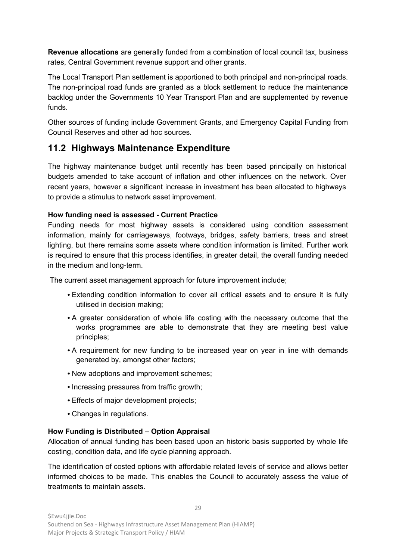**Revenue allocations** are generally funded from a combination of local council tax, business rates, Central Government revenue support and other grants.

The Local Transport Plan settlement is apportioned to both principal and non-principal roads. The non-principal road funds are granted as a block settlement to reduce the maintenance backlog under the Governments 10 Year Transport Plan and are supplemented by revenue funds.

Other sources of funding include Government Grants, and Emergency Capital Funding from Council Reserves and other ad hoc sources.

## **11.2 Highways Maintenance Expenditure**

The highway maintenance budget until recently has been based principally on historical budgets amended to take account of inflation and other influences on the network. Over recent years, however a significant increase in investment has been allocated to highways to provide a stimulus to network asset improvement.

#### **How funding need is assessed - Current Practice**

Funding needs for most highway assets is considered using condition assessment information, mainly for carriageways, footways, bridges, safety barriers, trees and street lighting, but there remains some assets where condition information is limited. Further work is required to ensure that this process identifies, in greater detail, the overall funding needed in the medium and long-term.

The current asset management approach for future improvement include;

- •Extending condition information to cover all critical assets and to ensure it is fully utilised in decision making;
- •A greater consideration of whole life costing with the necessary outcome that the works programmes are able to demonstrate that they are meeting best value principles;
- •A requirement for new funding to be increased year on year in line with demands generated by, amongst other factors;
- New adoptions and improvement schemes;
- Increasing pressures from traffic growth;
- •Effects of major development projects;
- Changes in regulations.

#### **How Funding is Distributed – Option Appraisal**

Allocation of annual funding has been based upon an historic basis supported by whole life costing, condition data, and life cycle planning approach.

The identification of costed options with affordable related levels of service and allows better informed choices to be made. This enables the Council to accurately assess the value of treatments to maintain assets.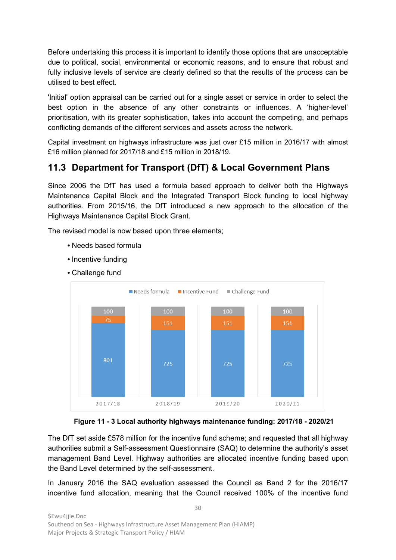Before undertaking this process it is important to identify those options that are unacceptable due to political, social, environmental or economic reasons, and to ensure that robust and fully inclusive levels of service are clearly defined so that the results of the process can be utilised to best effect.

'Initial' option appraisal can be carried out for a single asset or service in order to select the best option in the absence of any other constraints or influences. A 'higher-level' prioritisation, with its greater sophistication, takes into account the competing, and perhaps conflicting demands of the different services and assets across the network.

Capital investment on highways infrastructure was just over £15 million in 2016/17 with almost £16 million planned for 2017/18 and £15 million in 2018/19.

## **11.3 Department for Transport (DfT) & Local Government Plans**

Since 2006 the DfT has used a formula based approach to deliver both the Highways Maintenance Capital Block and the Integrated Transport Block funding to local highway authorities. From 2015/16, the DfT introduced a new approach to the allocation of the Highways Maintenance Capital Block Grant.

The revised model is now based upon three elements;

- Needs based formula
- Incentive funding
- Challenge fund



**Figure 11 - 3 Local authority highways maintenance funding: 2017/18 - 2020/21**

The DfT set aside £578 million for the incentive fund scheme; and requested that all highway authorities submit a Self-assessment Questionnaire (SAQ) to determine the authority's asset management Band Level. Highway authorities are allocated incentive funding based upon the Band Level determined by the self-assessment.

In January 2016 the SAQ evaluation assessed the Council as Band 2 for the 2016/17 incentive fund allocation, meaning that the Council received 100% of the incentive fund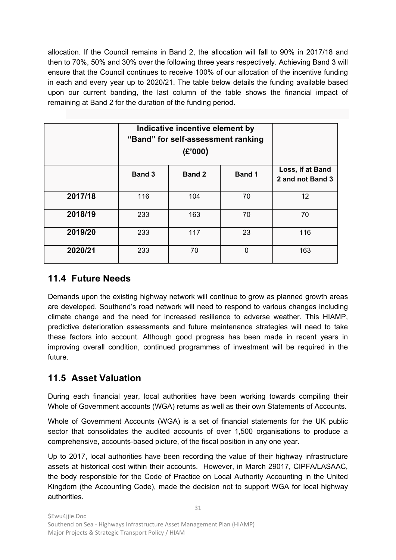allocation. If the Council remains in Band 2, the allocation will fall to 90% in 2017/18 and then to 70%, 50% and 30% over the following three years respectively. Achieving Band 3 will ensure that the Council continues to receive 100% of our allocation of the incentive funding in each and every year up to 2020/21. The table below details the funding available based upon our current banding, the last column of the table shows the financial impact of remaining at Band 2 for the duration of the funding period.

|         | Indicative incentive element by<br>"Band" for self-assessment ranking |               |               |                                      |
|---------|-----------------------------------------------------------------------|---------------|---------------|--------------------------------------|
|         | <b>Band 3</b>                                                         | <b>Band 2</b> | <b>Band 1</b> | Loss, if at Band<br>2 and not Band 3 |
| 2017/18 | 116                                                                   | 104           | 70            | 12                                   |
| 2018/19 | 233                                                                   | 163           | 70            | 70                                   |
| 2019/20 | 233                                                                   | 117           | 23            | 116                                  |
| 2020/21 | 233                                                                   | 70            | 0             | 163                                  |

### **11.4 Future Needs**

Demands upon the existing highway network will continue to grow as planned growth areas are developed. Southend's road network will need to respond to various changes including climate change and the need for increased resilience to adverse weather. This HIAMP, predictive deterioration assessments and future maintenance strategies will need to take these factors into account. Although good progress has been made in recent years in improving overall condition, continued programmes of investment will be required in the future.

## **11.5 Asset Valuation**

During each financial year, local authorities have been working towards compiling their Whole of Government accounts (WGA) returns as well as their own Statements of Accounts.

Whole of Government Accounts (WGA) is a set of financial statements for the UK public sector that consolidates the audited accounts of over 1,500 organisations to produce a comprehensive, accounts-based picture, of the fiscal position in any one year.

Up to 2017, local authorities have been recording the value of their highway infrastructure assets at historical cost within their accounts. However, in March 29017, CIPFA/LASAAC, the body responsible for the Code of Practice on Local Authority Accounting in the United Kingdom (the Accounting Code), made the decision not to support WGA for local highway authorities.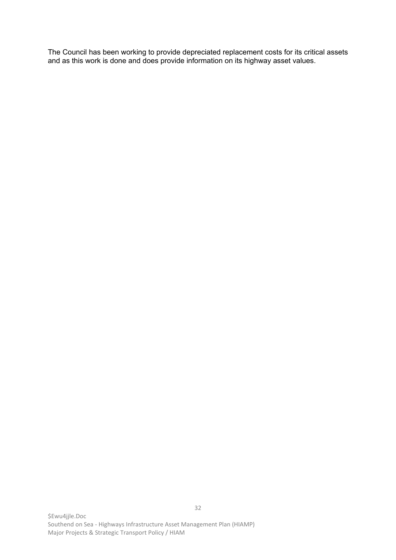The Council has been working to provide depreciated replacement costs for its critical assets and as this work is done and does provide information on its highway asset values.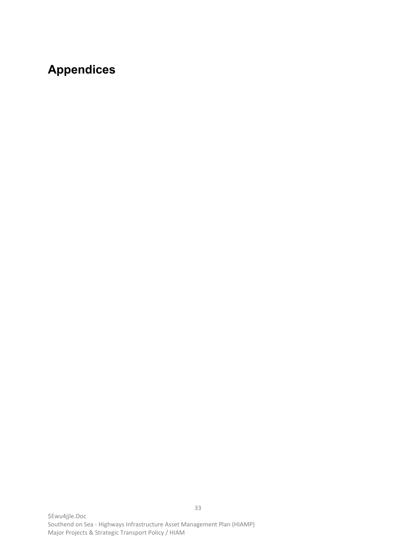# **Appendices**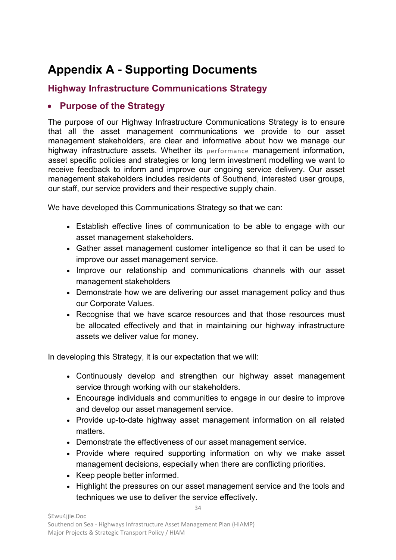# <span id="page-33-0"></span>**Appendix A - Supporting Documents**

## **Highway Infrastructure Communications Strategy**

## **Purpose of the Strategy**

The purpose of our Highway Infrastructure Communications Strategy is to ensure that all the asset management communications we provide to our asset management stakeholders, are clear and informative about how we manage our highway infrastructure assets. Whether its performance management information, asset specific policies and strategies or long term investment modelling we want to receive feedback to inform and improve our ongoing service delivery. Our asset management stakeholders includes residents of Southend, interested user groups, our staff, our service providers and their respective supply chain.

We have developed this Communications Strategy so that we can:

- Establish effective lines of communication to be able to engage with our asset management stakeholders.
- Gather asset management customer intelligence so that it can be used to improve our asset management service.
- Improve our relationship and communications channels with our asset management stakeholders
- Demonstrate how we are delivering our asset management policy and thus our Corporate Values.
- Recognise that we have scarce resources and that those resources must be allocated effectively and that in maintaining our highway infrastructure assets we deliver value for money.

In developing this Strategy, it is our expectation that we will:

- Continuously develop and strengthen our highway asset management service through working with our stakeholders.
- Encourage individuals and communities to engage in our desire to improve and develop our asset management service.
- Provide up-to-date highway asset management information on all related matters.
- Demonstrate the effectiveness of our asset management service.
- Provide where required supporting information on why we make asset management decisions, especially when there are conflicting priorities.
- Keep people better informed.
- Highlight the pressures on our asset management service and the tools and techniques we use to deliver the service effectively.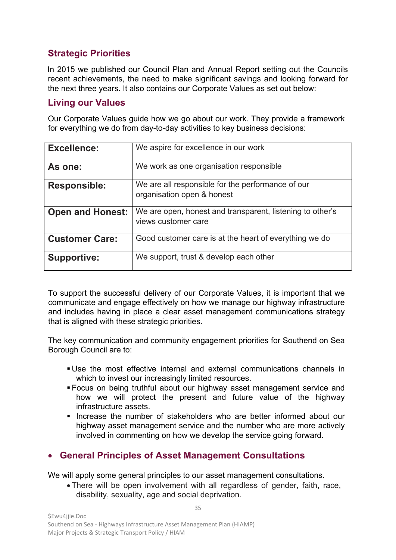## **Strategic Priorities**

In 2015 we published our Council Plan and Annual Report setting out the Councils recent achievements, the need to make significant savings and looking forward for the next three years. It also contains our Corporate Values as set out below:

## **Living our Values**

Our Corporate Values guide how we go about our work. They provide a framework for everything we do from day-to-day activities to key business decisions:

| <b>Excellence:</b>      | We aspire for excellence in our work                                             |
|-------------------------|----------------------------------------------------------------------------------|
| As one:                 | We work as one organisation responsible                                          |
| <b>Responsible:</b>     | We are all responsible for the performance of our<br>organisation open & honest  |
| <b>Open and Honest:</b> | We are open, honest and transparent, listening to other's<br>views customer care |
| <b>Customer Care:</b>   | Good customer care is at the heart of everything we do                           |
| <b>Supportive:</b>      | We support, trust & develop each other                                           |

To support the successful delivery of our Corporate Values, it is important that we communicate and engage effectively on how we manage our highway infrastructure and includes having in place a clear asset management communications strategy that is aligned with these strategic priorities.

The key communication and community engagement priorities for Southend on Sea Borough Council are to:

- Use the most effective internal and external communications channels in which to invest our increasingly limited resources.
- Focus on being truthful about our highway asset management service and how we will protect the present and future value of the highway infrastructure assets.
- **Increase the number of stakeholders who are better informed about our** highway asset management service and the number who are more actively involved in commenting on how we develop the service going forward.

## **General Principles of Asset Management Consultations**

We will apply some general principles to our asset management consultations.

 There will be open involvement with all regardless of gender, faith, race, disability, sexuality, age and social deprivation.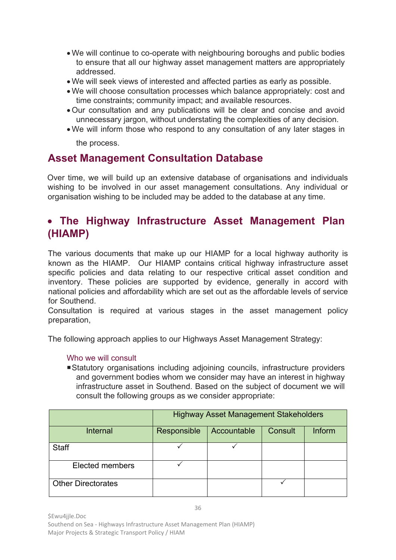- We will continue to co-operate with neighbouring boroughs and public bodies to ensure that all our highway asset management matters are appropriately addressed.
- We will seek views of interested and affected parties as early as possible.
- We will choose consultation processes which balance appropriately: cost and time constraints; community impact; and available resources.
- Our consultation and any publications will be clear and concise and avoid unnecessary jargon, without understating the complexities of any decision.
- We will inform those who respond to any consultation of any later stages in

the process.

## **Asset Management Consultation Database**

Over time, we will build up an extensive database of organisations and individuals wishing to be involved in our asset management consultations. Any individual or organisation wishing to be included may be added to the database at any time.

## **The Highway Infrastructure Asset Management Plan (HIAMP)**

The various documents that make up our HIAMP for a local highway authority is known as the HIAMP. Our HIAMP contains critical highway infrastructure asset specific policies and data relating to our respective critical asset condition and inventory. These policies are supported by evidence, generally in accord with national policies and affordability which are set out as the affordable levels of service for Southend.

Consultation is required at various stages in the asset management policy preparation,

The following approach applies to our Highways Asset Management Strategy:

#### Who we will consult

Statutory organisations including adjoining councils, infrastructure providers and government bodies whom we consider may have an interest in highway infrastructure asset in Southend. Based on the subject of document we will consult the following groups as we consider appropriate:

|                           | <b>Highway Asset Management Stakeholders</b> |             |         |        |
|---------------------------|----------------------------------------------|-------------|---------|--------|
| Internal                  | Responsible                                  | Accountable | Consult | Inform |
| <b>Staff</b>              |                                              |             |         |        |
| <b>Elected members</b>    |                                              |             |         |        |
| <b>Other Directorates</b> |                                              |             |         |        |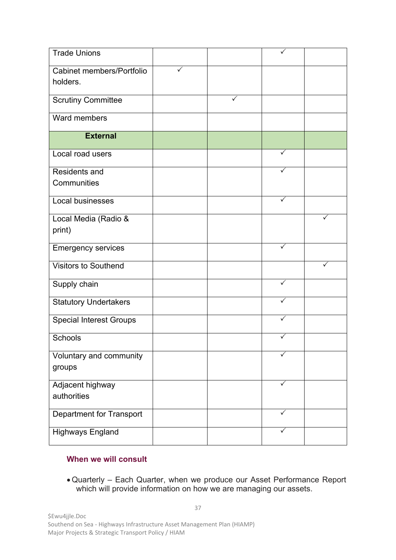| <b>Trade Unions</b>                          |   |   |              |  |
|----------------------------------------------|---|---|--------------|--|
| <b>Cabinet members/Portfolio</b><br>holders. | ✓ |   |              |  |
| <b>Scrutiny Committee</b>                    |   | ✓ |              |  |
| Ward members                                 |   |   |              |  |
| <b>External</b>                              |   |   |              |  |
| Local road users                             |   |   | $\checkmark$ |  |
| <b>Residents and</b>                         |   |   |              |  |
| Communities                                  |   |   |              |  |
| Local businesses                             |   |   | $\checkmark$ |  |
| Local Media (Radio &                         |   |   |              |  |
| print)                                       |   |   |              |  |
| <b>Emergency services</b>                    |   |   | ✓            |  |
| <b>Visitors to Southend</b>                  |   |   |              |  |
| Supply chain                                 |   |   | ✓            |  |
| <b>Statutory Undertakers</b>                 |   |   | ✓            |  |
| <b>Special Interest Groups</b>               |   |   |              |  |
| Schools                                      |   |   |              |  |
| Voluntary and community                      |   |   |              |  |
| groups                                       |   |   |              |  |
| Adjacent highway<br>authorities              |   |   | ✓            |  |
| Department for Transport                     |   |   | ✓            |  |
| <b>Highways England</b>                      |   |   | ✓            |  |

#### **When we will consult**

 Quarterly – Each Quarter, when we produce our Asset Performance Report which will provide information on how we are managing our assets.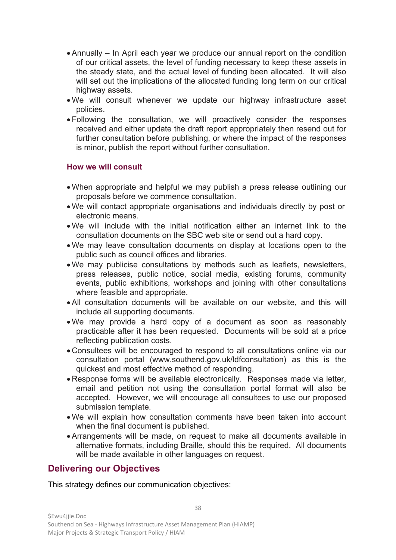- Annually In April each year we produce our annual report on the condition of our critical assets, the level of funding necessary to keep these assets in the steady state, and the actual level of funding been allocated. It will also will set out the implications of the allocated funding long term on our critical highway assets.
- We will consult whenever we update our highway infrastructure asset policies.
- Following the consultation, we will proactively consider the responses received and either update the draft report appropriately then resend out for further consultation before publishing, or where the impact of the responses is minor, publish the report without further consultation.

#### **How we will consult**

- When appropriate and helpful we may publish a press release outlining our proposals before we commence consultation.
- We will contact appropriate organisations and individuals directly by post or electronic means.
- We will include with the initial notification either an internet link to the consultation documents on the SBC web site or send out a hard copy.
- We may leave consultation documents on display at locations open to the public such as council offices and libraries.
- We may publicise consultations by methods such as leaflets, newsletters, press releases, public notice, social media, existing forums, community events, public exhibitions, workshops and joining with other consultations where feasible and appropriate.
- All consultation documents will be available on our website, and this will include all supporting documents.
- We may provide a hard copy of a document as soon as reasonably practicable after it has been requested. Documents will be sold at a price reflecting publication costs.
- Consultees will be encouraged to respond to all consultations online via our consultation portal (www.southend.gov.uk/ldfconsultation) as this is the quickest and most effective method of responding.
- Response forms will be available electronically. Responses made via letter, email and petition not using the consultation portal format will also be accepted. However, we will encourage all consultees to use our proposed submission template.
- We will explain how consultation comments have been taken into account when the final document is published.
- Arrangements will be made, on request to make all documents available in alternative formats, including Braille, should this be required. All documents will be made available in other languages on request.

#### **Delivering our Objectives**

This strategy defines our communication objectives: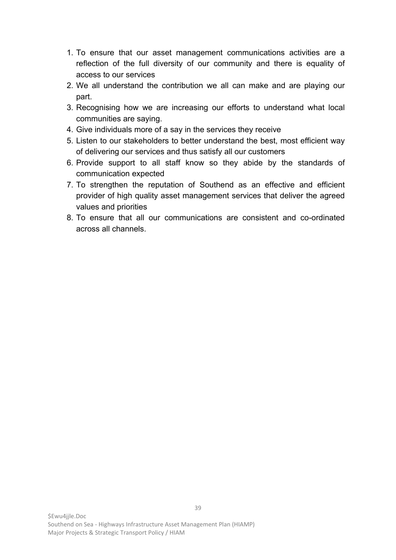- 1. To ensure that our asset management communications activities are a reflection of the full diversity of our community and there is equality of access to our services
- 2. We all understand the contribution we all can make and are playing our part.
- 3. Recognising how we are increasing our efforts to understand what local communities are saying.
- 4. Give individuals more of a say in the services they receive
- 5. Listen to our stakeholders to better understand the best, most efficient way of delivering our services and thus satisfy all our customers
- 6. Provide support to all staff know so they abide by the standards of communication expected
- 7. To strengthen the reputation of Southend as an effective and efficient provider of high quality asset management services that deliver the agreed values and priorities
- 8. To ensure that all our communications are consistent and co-ordinated across all channels.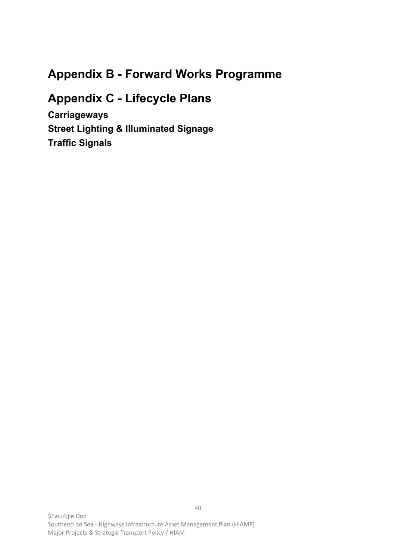## <span id="page-39-0"></span>**Appendix B - Forward Works Programme**

## <span id="page-39-1"></span>**Appendix C - Lifecycle Plans**

**Carriageways Street Lighting & Illuminated Signage Traffic Signals**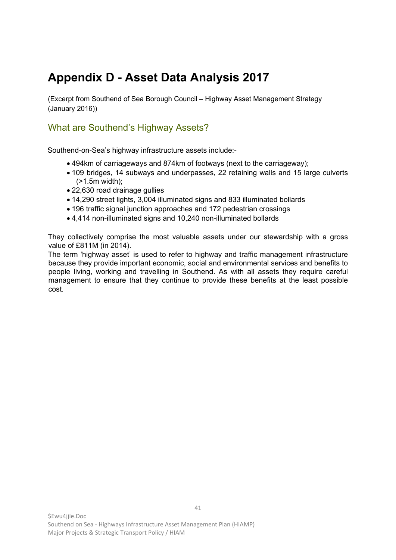## <span id="page-40-0"></span>**Appendix D - Asset Data Analysis 2017**

(Excerpt from Southend of Sea Borough Council – Highway Asset Management Strategy (January 2016))

### What are Southend's Highway Assets?

Southend-on-Sea's highway infrastructure assets include:-

- 494km of carriageways and 874km of footways (next to the carriageway);
- 109 bridges, 14 subways and underpasses, 22 retaining walls and 15 large culverts (>1.5m width);
- 22,630 road drainage gullies
- 14,290 street lights, 3,004 illuminated signs and 833 illuminated bollards
- 196 traffic signal junction approaches and 172 pedestrian crossings
- 4,414 non-illuminated signs and 10,240 non-illuminated bollards

They collectively comprise the most valuable assets under our stewardship with a gross value of £811M (in 2014).

The term 'highway asset' is used to refer to highway and traffic management infrastructure because they provide important economic, social and environmental services and benefits to people living, working and travelling in Southend. As with all assets they require careful management to ensure that they continue to provide these benefits at the least possible cost.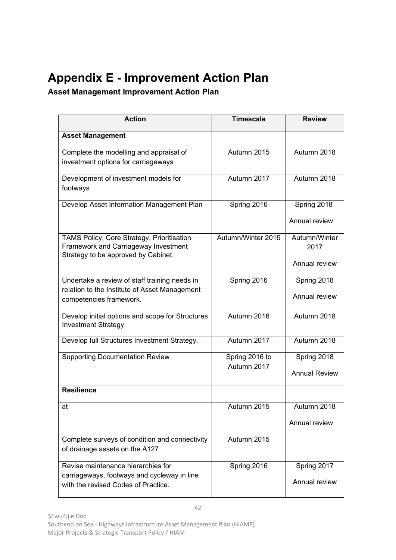# <span id="page-41-0"></span>**Appendix E - Improvement Action Plan**

**Asset Management Improvement Action Plan**

| <b>Action</b>                                                                      | <b>Timescale</b>   | <b>Review</b>         |
|------------------------------------------------------------------------------------|--------------------|-----------------------|
| <b>Asset Management</b>                                                            |                    |                       |
| Complete the modelling and appraisal of                                            | Autumn 2015        | Autumn 2018           |
| investment options for carriageways                                                |                    |                       |
| Development of investment models for<br>footways                                   | Autumn 2017        | Autumn 2018           |
|                                                                                    |                    |                       |
| Develop Asset Information Management Plan                                          | Spring 2016        | Spring 2018           |
|                                                                                    |                    | Annual review         |
| TAMS Policy, Core Strategy, Prioritisation<br>Framework and Carriageway Investment | Autumn/Winter 2015 | Autumn/Winter<br>2017 |
| Strategy to be approved by Cabinet.                                                |                    |                       |
|                                                                                    |                    | Annual review         |
| Undertake a review of staff training needs in                                      | Spring 2016        | Spring 2018           |
| relation to the Institute of Asset Management<br>competencies framework.           |                    | Annual review         |
| Develop initial options and scope for Structures                                   | Autumn 2016        | Autumn 2018           |
| <b>Investment Strategy</b>                                                         |                    |                       |
| Develop full Structures Investment Strategy.                                       | Autumn 2017        | Autumn 2018           |
| <b>Supporting Documentation Review</b>                                             | Spring 2016 to     | Spring 2018           |
|                                                                                    | Autumn 2017        | <b>Annual Review</b>  |
| <b>Resilience</b>                                                                  |                    |                       |
| at                                                                                 | Autumn 2015        | Autumn 2018           |
|                                                                                    |                    | Annual review         |
| Complete surveys of condition and connectivity<br>of drainage assets on the A127   | Autumn 2015        |                       |
| Revise maintenance hierarchies for                                                 | Spring 2016        | Spring 2017           |
| carriageways, footways and cycleway in line<br>with the revised Codes of Practice. |                    | Annual review         |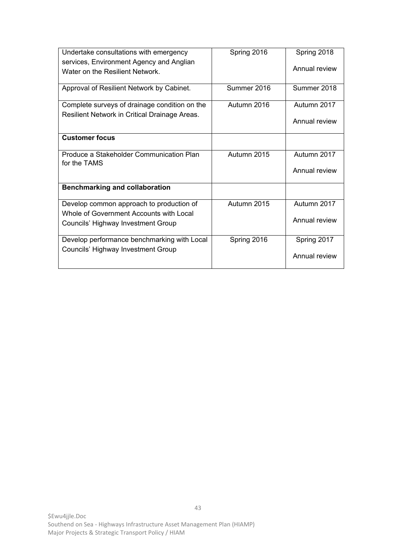| Undertake consultations with emergency                                      | Spring 2016 | Spring 2018   |
|-----------------------------------------------------------------------------|-------------|---------------|
| services, Environment Agency and Anglian<br>Water on the Resilient Network. |             | Annual review |
| Approval of Resilient Network by Cabinet.                                   | Summer 2016 | Summer 2018   |
| Complete surveys of drainage condition on the                               | Autumn 2016 | Autumn 2017   |
| Resilient Network in Critical Drainage Areas.                               |             | Annual review |
| <b>Customer focus</b>                                                       |             |               |
| Produce a Stakeholder Communication Plan                                    | Autumn 2015 | Autumn 2017   |
| for the TAMS                                                                |             | Annual review |
| <b>Benchmarking and collaboration</b>                                       |             |               |
| Develop common approach to production of                                    | Autumn 2015 | Autumn 2017   |
| Whole of Government Accounts with Local                                     |             | Annual review |
| Councils' Highway Investment Group                                          |             |               |
| Develop performance benchmarking with Local                                 | Spring 2016 | Spring 2017   |
| Councils' Highway Investment Group                                          |             | Annual review |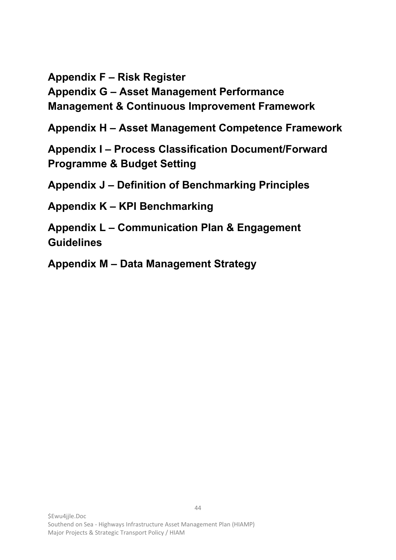<span id="page-43-0"></span>**Appendix F – Risk Register Appendix G – Asset Management Performance Management & Continuous Improvement Framework**

**Appendix H – Asset Management Competence Framework**

**Appendix I – Process Classification Document/Forward Programme & Budget Setting**

**Appendix J – Definition of Benchmarking Principles**

**Appendix K – KPI Benchmarking**

**Appendix L – Communication Plan & Engagement Guidelines**

**Appendix M – Data Management Strategy**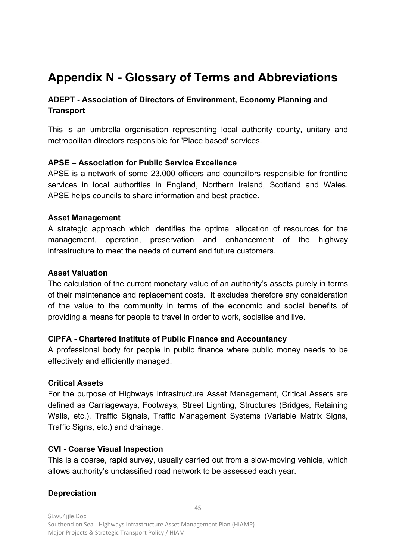## <span id="page-44-0"></span>**Appendix N - Glossary of Terms and Abbreviations**

#### **ADEPT - Association of Directors of Environment, Economy Planning and Transport**

This is an umbrella organisation representing local authority county, unitary and metropolitan directors responsible for 'Place based' services.

#### **APSE – Association for Public Service Excellence**

APSE is a network of some 23,000 officers and councillors responsible for frontline services in local authorities in England, Northern Ireland, Scotland and Wales. APSE helps councils to share information and best practice.

#### **Asset Management**

A strategic approach which identifies the optimal allocation of resources for the management, operation, preservation and enhancement of the highway infrastructure to meet the needs of current and future customers.

#### **Asset Valuation**

The calculation of the current monetary value of an authority's assets purely in terms of their maintenance and replacement costs. It excludes therefore any consideration of the value to the community in terms of the economic and social benefits of providing a means for people to travel in order to work, socialise and live.

#### **CIPFA - Chartered Institute of Public Finance and Accountancy**

A professional body for people in public finance where public money needs to be effectively and efficiently managed.

#### **Critical Assets**

For the purpose of Highways Infrastructure Asset Management, Critical Assets are defined as Carriageways, Footways, Street Lighting, Structures (Bridges, Retaining Walls, etc.), Traffic Signals, Traffic Management Systems (Variable Matrix Signs, Traffic Signs, etc.) and drainage.

#### **CVI - Coarse Visual Inspection**

This is a coarse, rapid survey, usually carried out from a slow-moving vehicle, which allows authority's unclassified road network to be assessed each year.

#### **Depreciation**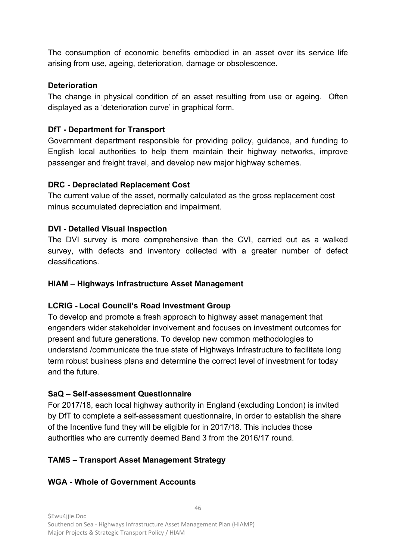The consumption of economic benefits embodied in an asset over its service life arising from use, ageing, deterioration, damage or obsolescence.

#### **Deterioration**

The change in physical condition of an asset resulting from use or ageing. Often displayed as a 'deterioration curve' in graphical form.

#### **DfT - Department for Transport**

Government department responsible for providing policy, guidance, and funding to English local authorities to help them maintain their highway networks, improve passenger and freight travel, and develop new major highway schemes.

#### **DRC - Depreciated Replacement Cost**

The current value of the asset, normally calculated as the gross replacement cost minus accumulated depreciation and impairment.

#### **DVI - Detailed Visual Inspection**

The DVI survey is more comprehensive than the CVI, carried out as a walked survey, with defects and inventory collected with a greater number of defect classifications.

#### **HIAM – Highways Infrastructure Asset Management**

#### **LCRIG - Local Council's Road Investment Group**

To develop and promote a fresh approach to highway asset management that engenders wider stakeholder involvement and focuses on investment outcomes for present and future generations. To develop new common methodologies to understand /communicate the true state of Highways Infrastructure to facilitate long term robust business plans and determine the correct level of investment for today and the future.

#### **SaQ – Self-assessment Questionnaire**

For 2017/18, each local highway authority in England (excluding London) is invited by DfT to complete a self-assessment questionnaire, in order to establish the share of the Incentive fund they will be eligible for in 2017/18. This includes those authorities who are currently deemed Band 3 from the 2016/17 round.

#### **TAMS – Transport Asset Management Strategy**

#### **WGA - Whole of Government Accounts**